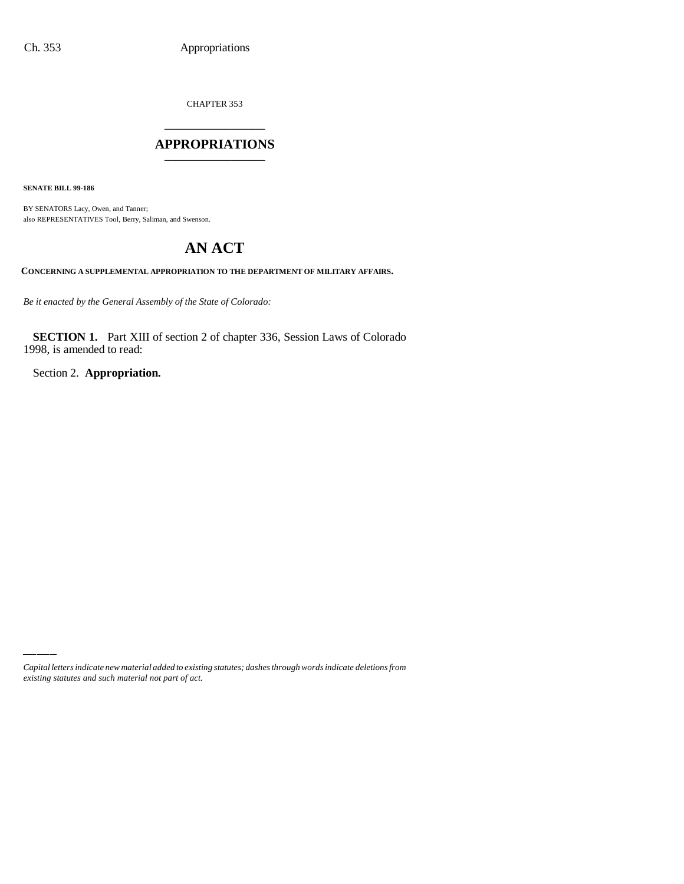CHAPTER 353 \_\_\_\_\_\_\_\_\_\_\_\_\_\_\_

## **APPROPRIATIONS** \_\_\_\_\_\_\_\_\_\_\_\_\_\_\_

**SENATE BILL 99-186**

BY SENATORS Lacy, Owen, and Tanner; also REPRESENTATIVES Tool, Berry, Saliman, and Swenson.

# **AN ACT**

**CONCERNING A SUPPLEMENTAL APPROPRIATION TO THE DEPARTMENT OF MILITARY AFFAIRS.**

*Be it enacted by the General Assembly of the State of Colorado:*

**SECTION 1.** Part XIII of section 2 of chapter 336, Session Laws of Colorado 1998, is amended to read:

Section 2. **Appropriation.**

*Capital letters indicate new material added to existing statutes; dashes through words indicate deletions from existing statutes and such material not part of act.*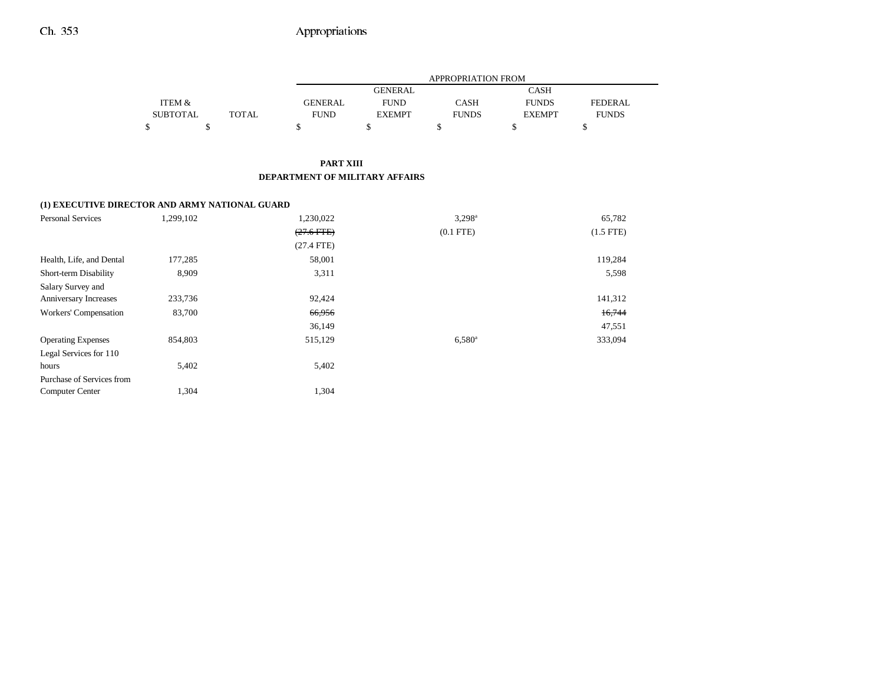# Ch. 353 Appropriations

|                 |              |             | <b>APPROPRIATION FROM</b> |              |               |                |  |  |  |  |
|-----------------|--------------|-------------|---------------------------|--------------|---------------|----------------|--|--|--|--|
|                 |              |             | <b>GENERAL</b>            |              | CASH          |                |  |  |  |  |
| ITEM &          |              | GENERAL     | <b>FUND</b>               | CASH         | <b>FUNDS</b>  | <b>FEDERAL</b> |  |  |  |  |
| <b>SUBTOTAL</b> | <b>TOTAL</b> | <b>FUND</b> | <b>EXEMPT</b>             | <b>FUNDS</b> | <b>EXEMPT</b> | <b>FUNDS</b>   |  |  |  |  |
|                 |              |             |                           |              |               |                |  |  |  |  |

#### **PART XIII DEPARTMENT OF MILITARY AFFAIRS**

## **(1) EXECUTIVE DIRECTOR AND ARMY NATIONAL GUARD**

| <b>Personal Services</b>  | 1,299,102 | 1,230,022    | $3,298^{\circ}$ | 65,782         |
|---------------------------|-----------|--------------|-----------------|----------------|
|                           |           | $(27.6$ FTE) | $(0.1$ FTE $)$  | $(1.5$ FTE $)$ |
|                           |           | $(27.4$ FTE) |                 |                |
| Health, Life, and Dental  | 177,285   | 58,001       |                 | 119,284        |
| Short-term Disability     | 8,909     | 3,311        |                 | 5,598          |
| Salary Survey and         |           |              |                 |                |
| Anniversary Increases     | 233,736   | 92,424       |                 | 141,312        |
| Workers' Compensation     | 83,700    | 66,956       |                 | 16,744         |
|                           |           | 36,149       |                 | 47,551         |
| <b>Operating Expenses</b> | 854,803   | 515,129      | $6,580^{\rm a}$ | 333,094        |
| Legal Services for 110    |           |              |                 |                |
| hours                     | 5,402     | 5,402        |                 |                |
| Purchase of Services from |           |              |                 |                |
| <b>Computer Center</b>    | 1,304     | 1,304        |                 |                |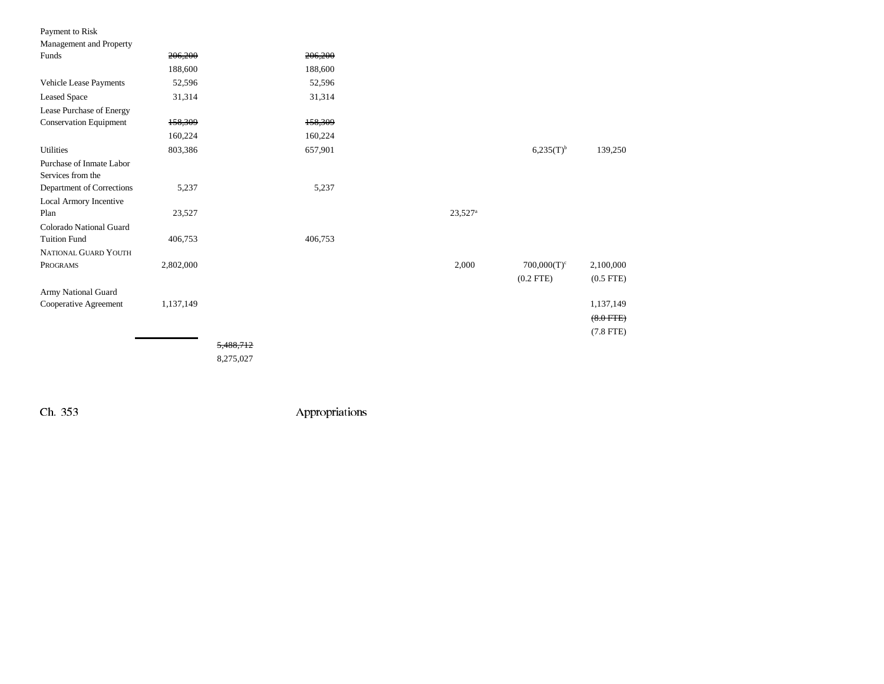| Payment to Risk                               |           |           |         |                       |                |                |
|-----------------------------------------------|-----------|-----------|---------|-----------------------|----------------|----------------|
| Management and Property                       |           |           |         |                       |                |                |
| Funds                                         | 206,200   |           | 206,200 |                       |                |                |
|                                               | 188,600   |           | 188,600 |                       |                |                |
| Vehicle Lease Payments                        | 52,596    |           | 52,596  |                       |                |                |
| <b>Leased Space</b>                           | 31,314    |           | 31,314  |                       |                |                |
| Lease Purchase of Energy                      |           |           |         |                       |                |                |
| <b>Conservation Equipment</b>                 | 158,309   |           | 158,309 |                       |                |                |
|                                               | 160,224   |           | 160,224 |                       |                |                |
| Utilities                                     | 803,386   |           | 657,901 |                       | $6,235(T)^{b}$ | 139,250        |
| Purchase of Inmate Labor<br>Services from the |           |           |         |                       |                |                |
| Department of Corrections                     | 5,237     |           | 5,237   |                       |                |                |
| Local Armory Incentive                        |           |           |         |                       |                |                |
| Plan                                          | 23,527    |           |         | $23,527$ <sup>a</sup> |                |                |
| Colorado National Guard                       |           |           |         |                       |                |                |
| <b>Tuition Fund</b>                           | 406,753   |           | 406,753 |                       |                |                |
| NATIONAL GUARD YOUTH                          |           |           |         |                       |                |                |
| PROGRAMS                                      | 2,802,000 |           |         | 2,000                 | $700,000(T)^c$ | 2,100,000      |
|                                               |           |           |         |                       | $(0.2$ FTE $)$ | $(0.5$ FTE $)$ |
| Army National Guard                           |           |           |         |                       |                |                |
| Cooperative Agreement                         | 1,137,149 |           |         |                       |                | 1,137,149      |
|                                               |           |           |         |                       |                | $(8.0$ FTE $)$ |
|                                               |           |           |         |                       |                | $(7.8$ FTE $)$ |
|                                               |           | 5,488,712 |         |                       |                |                |

8,275,027

Ch. 353 Appropriations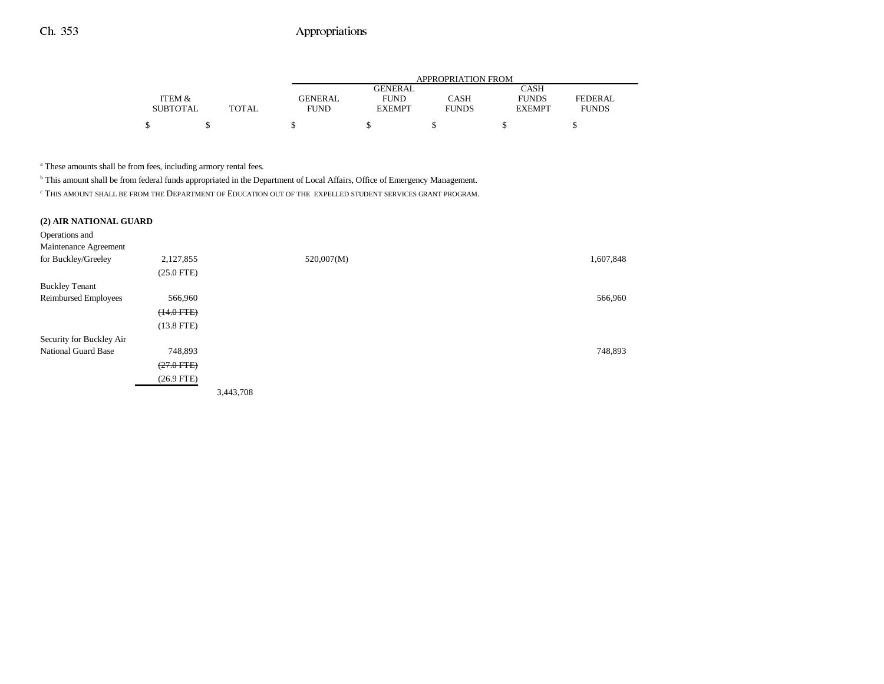# Ch. 353 Appropriations

|                 |              |                | APPROPRIATION FROM |              |               |                |  |  |  |
|-----------------|--------------|----------------|--------------------|--------------|---------------|----------------|--|--|--|
|                 |              |                | GENERAL            |              | <b>CASH</b>   |                |  |  |  |
| ITEM &          |              | <b>GENERAL</b> | <b>FUND</b>        | CASH         | <b>FUNDS</b>  | <b>FEDERAL</b> |  |  |  |
| <b>SUBTOTAL</b> | <b>TOTAL</b> | <b>FUND</b>    | <b>EXEMPT</b>      | <b>FUNDS</b> | <b>EXEMPT</b> | <b>FUNDS</b>   |  |  |  |
|                 |              |                |                    |              |               |                |  |  |  |
|                 |              |                |                    |              |               |                |  |  |  |

a These amounts shall be from fees, including armory rental fees.

b This amount shall be from federal funds appropriated in the Department of Local Affairs, Office of Emergency Management.

c THIS AMOUNT SHALL BE FROM THE DEPARTMENT OF EDUCATION OUT OF THE EXPELLED STUDENT SERVICES GRANT PROGRAM.

|  |  |  |  | (2) AIR NATIONAL GUARD |
|--|--|--|--|------------------------|
|--|--|--|--|------------------------|

| Operations and           |                 |           |            |           |
|--------------------------|-----------------|-----------|------------|-----------|
| Maintenance Agreement    |                 |           |            |           |
| for Buckley/Greeley      | 2,127,855       |           | 520,007(M) | 1,607,848 |
|                          | $(25.0$ FTE)    |           |            |           |
| <b>Buckley Tenant</b>    |                 |           |            |           |
| Reimbursed Employees     | 566,960         |           |            | 566,960   |
|                          | $(14.0$ FTE $)$ |           |            |           |
|                          | $(13.8$ FTE)    |           |            |           |
| Security for Buckley Air |                 |           |            |           |
| National Guard Base      | 748,893         |           |            | 748,893   |
|                          | $(27.0$ FTE $)$ |           |            |           |
|                          | $(26.9$ FTE)    |           |            |           |
|                          |                 | 3,443,708 |            |           |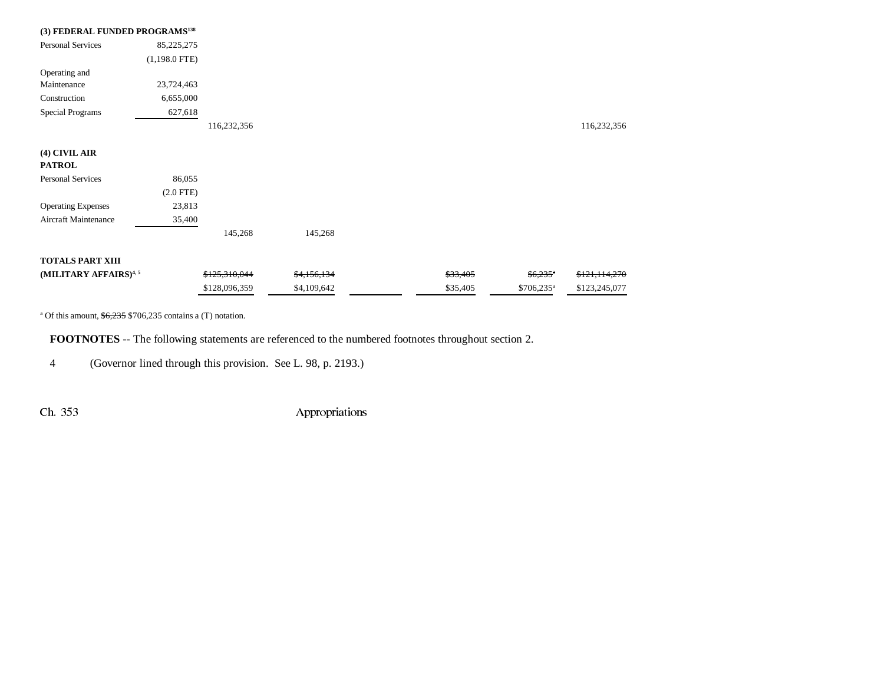| (3) FEDERAL FUNDED PROGRAMS <sup>138</sup> |                 |               |             |          |                         |               |
|--------------------------------------------|-----------------|---------------|-------------|----------|-------------------------|---------------|
| <b>Personal Services</b>                   | 85,225,275      |               |             |          |                         |               |
|                                            | $(1,198.0$ FTE) |               |             |          |                         |               |
| Operating and                              |                 |               |             |          |                         |               |
| Maintenance                                | 23,724,463      |               |             |          |                         |               |
| Construction                               | 6,655,000       |               |             |          |                         |               |
| <b>Special Programs</b>                    | 627,618         |               |             |          |                         |               |
|                                            |                 | 116,232,356   |             |          |                         | 116,232,356   |
|                                            |                 |               |             |          |                         |               |
| (4) CIVIL AIR                              |                 |               |             |          |                         |               |
| <b>PATROL</b>                              |                 |               |             |          |                         |               |
| <b>Personal Services</b>                   | 86,055          |               |             |          |                         |               |
|                                            | $(2.0$ FTE $)$  |               |             |          |                         |               |
| <b>Operating Expenses</b>                  | 23,813          |               |             |          |                         |               |
| Aircraft Maintenance                       | 35,400          |               |             |          |                         |               |
|                                            |                 | 145,268       | 145,268     |          |                         |               |
| <b>TOTALS PART XIII</b>                    |                 |               |             |          |                         |               |
|                                            |                 |               |             |          |                         |               |
| (MILITARY AFFAIRS) <sup>4,5</sup>          |                 | \$125,310,044 | \$4,156,134 | \$33,405 | $$6,235$ <sup>a</sup>   | \$121,114,270 |
|                                            |                 | \$128,096,359 | \$4,109,642 | \$35,405 | $$706,235$ <sup>a</sup> | \$123,245,077 |

<sup>a</sup> Of this amount,  $$6,235$  \$706,235 contains a (T) notation.

**FOOTNOTES** -- The following statements are referenced to the numbered footnotes throughout section 2.

4 (Governor lined through this provision. See L. 98, p. 2193.)

Ch. 353 Appropriations